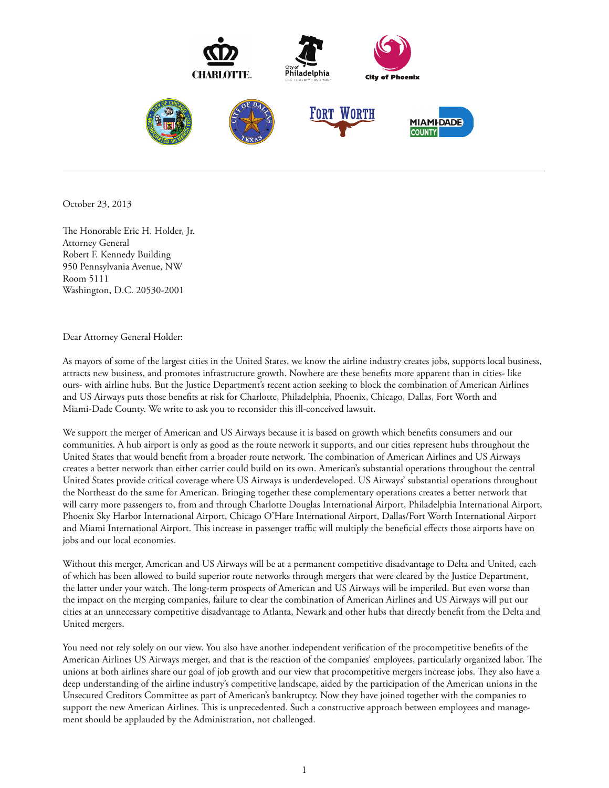

October 23, 2013

The Honorable Eric H. Holder, Jr. Attorney General Robert F. Kennedy Building 950 Pennsylvania Avenue, NW Room 5111 Washington, D.C. 20530-2001

## Dear Attorney General Holder:

As mayors of some of the largest cities in the United States, we know the airline industry creates jobs, supports local business, attracts new business, and promotes infrastructure growth. Nowhere are these benets more apparent than in cities- like ours- with airline hubs. But the Justice Department's recent action seeking to block the combination of American Airlines and US Airways puts those benefits at risk for Charlotte, Philadelphia, Phoenix, Chicago, Dallas, Fort Worth and Miami-Dade County. We write to ask you to reconsider this ill-conceived lawsuit.

We support the merger of American and US Airways because it is based on growth which benefits consumers and our communities. A hub airport is only as good as the route network it supports, and our cities represent hubs throughout the United States that would benefit from a broader route network. The combination of American Airlines and US Airways creates a better network than either carrier could build on its own. American's substantial operations throughout the central United States provide critical coverage where US Airways is underdeveloped. US Airways' substantial operations throughout the Northeast do the same for American. Bringing together these complementary operations creates a better network that will carry more passengers to, from and through Charlotte Douglas International Airport, Philadelphia International Airport, Phoenix Sky Harbor International Airport, Chicago O'Hare International Airport, Dallas/Fort Worth International Airport and Miami International Airport. This increase in passenger traffic will multiply the beneficial effects those airports have on jobs and our local economies.

Without this merger, American and US Airways will be at a permanent competitive disadvantage to Delta and United, each of which has been allowed to build superior route networks through mergers that were cleared by the Justice Department, the latter under your watch. The long-term prospects of American and US Airways will be imperiled. But even worse than the impact on the merging companies, failure to clear the combination of American Airlines and US Airways will put our cities at an unnecessary competitive disadvantage to Atlanta, Newark and other hubs that directly benefit from the Delta and United mergers.

You need not rely solely on our view. You also have another independent verification of the procompetitive benefits of the American Airlines US Airways merger, and that is the reaction of the companies' employees, particularly organized labor. The unions at both airlines share our goal of job growth and our view that procompetitive mergers increase jobs. They also have a deep understanding of the airline industry's competitive landscape, aided by the participation of the American unions in the Unsecured Creditors Committee as part of American's bankruptcy. Now they have joined together with the companies to support the new American Airlines. This is unprecedented. Such a constructive approach between employees and management should be applauded by the Administration, not challenged.